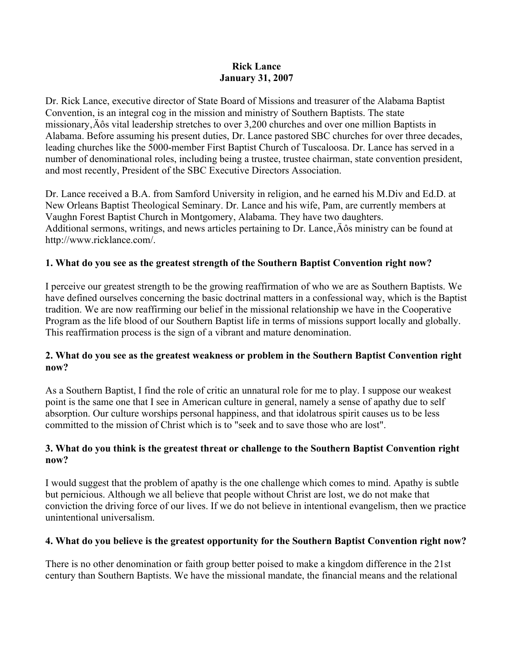#### **Rick Lance January 31, 2007**

Dr. Rick Lance, executive director of State Board of Missions and treasurer of the Alabama Baptist Convention, is an integral cog in the mission and ministry of Southern Baptists. The state missionary, Äôs vital leadership stretches to over 3,200 churches and over one million Baptists in Alabama. Before assuming his present duties, Dr. Lance pastored SBC churches for over three decades, leading churches like the 5000-member First Baptist Church of Tuscaloosa. Dr. Lance has served in a number of denominational roles, including being a trustee, trustee chairman, state convention president, and most recently, President of the SBC Executive Directors Association.

Dr. Lance received a B.A. from Samford University in religion, and he earned his M.Div and Ed.D. at New Orleans Baptist Theological Seminary. Dr. Lance and his wife, Pam, are currently members at Vaughn Forest Baptist Church in Montgomery, Alabama. They have two daughters. Additional sermons, writings, and news articles pertaining to Dr. Lance,  $\angle$  A $\hat{o}$ s ministry can be found at http://www.ricklance.com/.

## **1. What do you see as the greatest strength of the Southern Baptist Convention right now?**

I perceive our greatest strength to be the growing reaffirmation of who we are as Southern Baptists. We have defined ourselves concerning the basic doctrinal matters in a confessional way, which is the Baptist tradition. We are now reaffirming our belief in the missional relationship we have in the Cooperative Program as the life blood of our Southern Baptist life in terms of missions support locally and globally. This reaffirmation process is the sign of a vibrant and mature denomination.

## **2. What do you see as the greatest weakness or problem in the Southern Baptist Convention right now?**

As a Southern Baptist, I find the role of critic an unnatural role for me to play. I suppose our weakest point is the same one that I see in American culture in general, namely a sense of apathy due to self absorption. Our culture worships personal happiness, and that idolatrous spirit causes us to be less committed to the mission of Christ which is to "seek and to save those who are lost".

## **3. What do you think is the greatest threat or challenge to the Southern Baptist Convention right now?**

I would suggest that the problem of apathy is the one challenge which comes to mind. Apathy is subtle but pernicious. Although we all believe that people without Christ are lost, we do not make that conviction the driving force of our lives. If we do not believe in intentional evangelism, then we practice unintentional universalism.

## **4. What do you believe is the greatest opportunity for the Southern Baptist Convention right now?**

There is no other denomination or faith group better poised to make a kingdom difference in the 21st century than Southern Baptists. We have the missional mandate, the financial means and the relational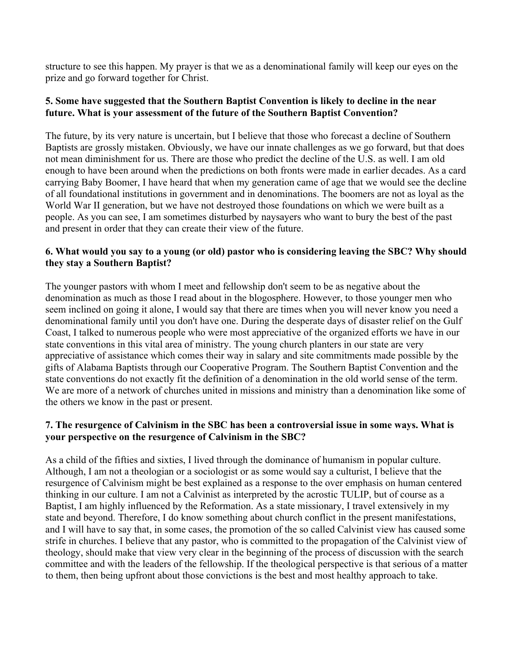structure to see this happen. My prayer is that we as a denominational family will keep our eyes on the prize and go forward together for Christ.

#### **5. Some have suggested that the Southern Baptist Convention is likely to decline in the near future. What is your assessment of the future of the Southern Baptist Convention?**

The future, by its very nature is uncertain, but I believe that those who forecast a decline of Southern Baptists are grossly mistaken. Obviously, we have our innate challenges as we go forward, but that does not mean diminishment for us. There are those who predict the decline of the U.S. as well. I am old enough to have been around when the predictions on both fronts were made in earlier decades. As a card carrying Baby Boomer, I have heard that when my generation came of age that we would see the decline of all foundational institutions in government and in denominations. The boomers are not as loyal as the World War II generation, but we have not destroyed those foundations on which we were built as a people. As you can see, I am sometimes disturbed by naysayers who want to bury the best of the past and present in order that they can create their view of the future.

## **6. What would you say to a young (or old) pastor who is considering leaving the SBC? Why should they stay a Southern Baptist?**

The younger pastors with whom I meet and fellowship don't seem to be as negative about the denomination as much as those I read about in the blogosphere. However, to those younger men who seem inclined on going it alone, I would say that there are times when you will never know you need a denominational family until you don't have one. During the desperate days of disaster relief on the Gulf Coast, I talked to numerous people who were most appreciative of the organized efforts we have in our state conventions in this vital area of ministry. The young church planters in our state are very appreciative of assistance which comes their way in salary and site commitments made possible by the gifts of Alabama Baptists through our Cooperative Program. The Southern Baptist Convention and the state conventions do not exactly fit the definition of a denomination in the old world sense of the term. We are more of a network of churches united in missions and ministry than a denomination like some of the others we know in the past or present.

## **7. The resurgence of Calvinism in the SBC has been a controversial issue in some ways. What is your perspective on the resurgence of Calvinism in the SBC?**

As a child of the fifties and sixties, I lived through the dominance of humanism in popular culture. Although, I am not a theologian or a sociologist or as some would say a culturist, I believe that the resurgence of Calvinism might be best explained as a response to the over emphasis on human centered thinking in our culture. I am not a Calvinist as interpreted by the acrostic TULIP, but of course as a Baptist, I am highly influenced by the Reformation. As a state missionary, I travel extensively in my state and beyond. Therefore, I do know something about church conflict in the present manifestations, and I will have to say that, in some cases, the promotion of the so called Calvinist view has caused some strife in churches. I believe that any pastor, who is committed to the propagation of the Calvinist view of theology, should make that view very clear in the beginning of the process of discussion with the search committee and with the leaders of the fellowship. If the theological perspective is that serious of a matter to them, then being upfront about those convictions is the best and most healthy approach to take.